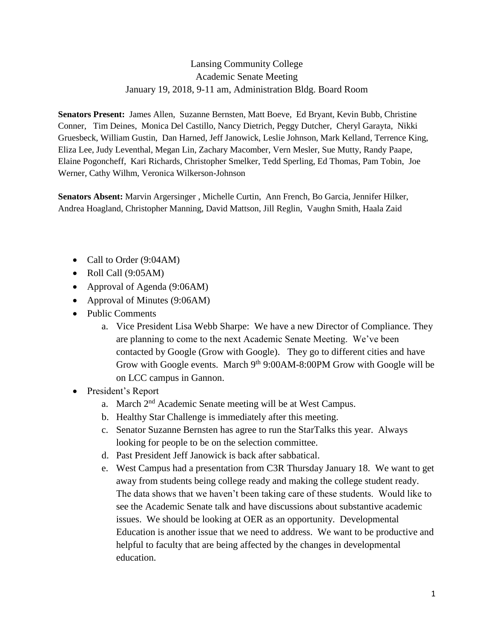## Lansing Community College Academic Senate Meeting January 19, 2018, 9-11 am, Administration Bldg. Board Room

**Senators Present:** James Allen, Suzanne Bernsten, Matt Boeve, Ed Bryant, Kevin Bubb, Christine Conner, Tim Deines, Monica Del Castillo, Nancy Dietrich, Peggy Dutcher, Cheryl Garayta, Nikki Gruesbeck, William Gustin, Dan Harned, Jeff Janowick, Leslie Johnson, Mark Kelland, Terrence King, Eliza Lee, Judy Leventhal, Megan Lin, Zachary Macomber, Vern Mesler, Sue Mutty, Randy Paape, Elaine Pogoncheff, Kari Richards, Christopher Smelker, Tedd Sperling, Ed Thomas, Pam Tobin, Joe Werner, Cathy Wilhm, Veronica Wilkerson-Johnson

**Senators Absent:** Marvin Argersinger , Michelle Curtin, Ann French, Bo Garcia, Jennifer Hilker, Andrea Hoagland, Christopher Manning, David Mattson, Jill Reglin, Vaughn Smith, Haala Zaid

- Call to Order (9:04AM)
- $\bullet$  Roll Call (9:05AM)
- Approval of Agenda (9:06AM)
- Approval of Minutes (9:06AM)
- Public Comments
	- a. Vice President Lisa Webb Sharpe: We have a new Director of Compliance. They are planning to come to the next Academic Senate Meeting. We've been contacted by Google (Grow with Google). They go to different cities and have Grow with Google events. March 9<sup>th</sup> 9:00AM-8:00PM Grow with Google will be on LCC campus in Gannon.
- President's Report
	- a. March 2<sup>nd</sup> Academic Senate meeting will be at West Campus.
	- b. Healthy Star Challenge is immediately after this meeting.
	- c. Senator Suzanne Bernsten has agree to run the StarTalks this year. Always looking for people to be on the selection committee.
	- d. Past President Jeff Janowick is back after sabbatical.
	- e. West Campus had a presentation from C3R Thursday January 18. We want to get away from students being college ready and making the college student ready. The data shows that we haven't been taking care of these students. Would like to see the Academic Senate talk and have discussions about substantive academic issues. We should be looking at OER as an opportunity. Developmental Education is another issue that we need to address. We want to be productive and helpful to faculty that are being affected by the changes in developmental education.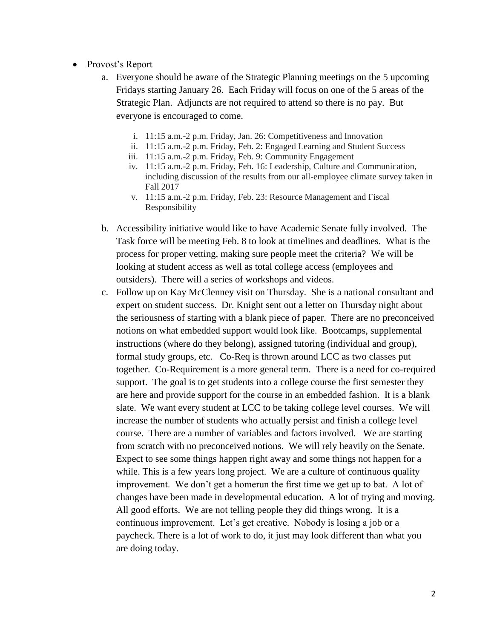- Provost's Report
	- a. Everyone should be aware of the Strategic Planning meetings on the 5 upcoming Fridays starting January 26. Each Friday will focus on one of the 5 areas of the Strategic Plan. Adjuncts are not required to attend so there is no pay. But everyone is encouraged to come.
		- i. 11:15 a.m.-2 p.m. Friday, Jan. 26: Competitiveness and Innovation
		- ii. 11:15 a.m.-2 p.m. Friday, Feb. 2: Engaged Learning and Student Success
		- iii. 11:15 a.m.-2 p.m. Friday, Feb. 9: Community Engagement
		- iv. 11:15 a.m.-2 p.m. Friday, Feb. 16: Leadership, Culture and Communication, including discussion of the results from our all-employee climate survey taken in Fall 2017
		- v. 11:15 a.m.-2 p.m. Friday, Feb. 23: Resource Management and Fiscal Responsibility
	- b. Accessibility initiative would like to have Academic Senate fully involved. The Task force will be meeting Feb. 8 to look at timelines and deadlines. What is the process for proper vetting, making sure people meet the criteria? We will be looking at student access as well as total college access (employees and outsiders). There will a series of workshops and videos.
	- c. Follow up on Kay McClenney visit on Thursday. She is a national consultant and expert on student success. Dr. Knight sent out a letter on Thursday night about the seriousness of starting with a blank piece of paper. There are no preconceived notions on what embedded support would look like. Bootcamps, supplemental instructions (where do they belong), assigned tutoring (individual and group), formal study groups, etc. Co-Req is thrown around LCC as two classes put together. Co-Requirement is a more general term. There is a need for co-required support. The goal is to get students into a college course the first semester they are here and provide support for the course in an embedded fashion. It is a blank slate. We want every student at LCC to be taking college level courses. We will increase the number of students who actually persist and finish a college level course. There are a number of variables and factors involved. We are starting from scratch with no preconceived notions. We will rely heavily on the Senate. Expect to see some things happen right away and some things not happen for a while. This is a few years long project. We are a culture of continuous quality improvement. We don't get a homerun the first time we get up to bat. A lot of changes have been made in developmental education. A lot of trying and moving. All good efforts. We are not telling people they did things wrong. It is a continuous improvement. Let's get creative. Nobody is losing a job or a paycheck. There is a lot of work to do, it just may look different than what you are doing today.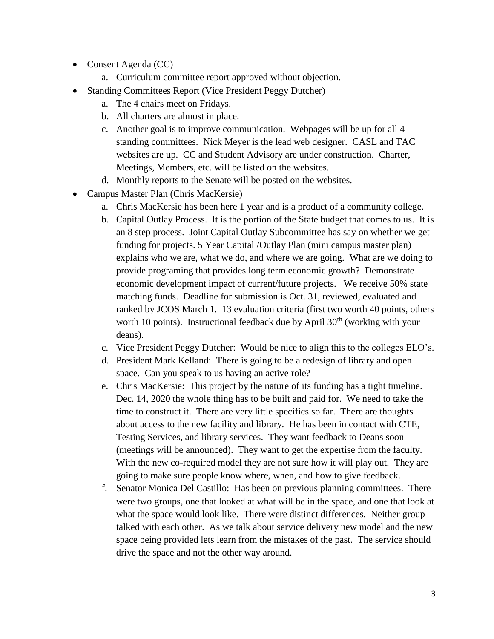- Consent Agenda (CC)
	- a. Curriculum committee report approved without objection.
- Standing Committees Report (Vice President Peggy Dutcher)
	- a. The 4 chairs meet on Fridays.
	- b. All charters are almost in place.
	- c. Another goal is to improve communication. Webpages will be up for all 4 standing committees. Nick Meyer is the lead web designer. CASL and TAC websites are up. CC and Student Advisory are under construction. Charter, Meetings, Members, etc. will be listed on the websites.
	- d. Monthly reports to the Senate will be posted on the websites.
- Campus Master Plan (Chris MacKersie)
	- a. Chris MacKersie has been here 1 year and is a product of a community college.
	- b. Capital Outlay Process. It is the portion of the State budget that comes to us. It is an 8 step process. Joint Capital Outlay Subcommittee has say on whether we get funding for projects. 5 Year Capital /Outlay Plan (mini campus master plan) explains who we are, what we do, and where we are going. What are we doing to provide programing that provides long term economic growth? Demonstrate economic development impact of current/future projects. We receive 50% state matching funds. Deadline for submission is Oct. 31, reviewed, evaluated and ranked by JCOS March 1. 13 evaluation criteria (first two worth 40 points, others worth 10 points). Instructional feedback due by April  $30<sup>th</sup>$  (working with your deans).
	- c. Vice President Peggy Dutcher: Would be nice to align this to the colleges ELO's.
	- d. President Mark Kelland: There is going to be a redesign of library and open space. Can you speak to us having an active role?
	- e. Chris MacKersie: This project by the nature of its funding has a tight timeline. Dec. 14, 2020 the whole thing has to be built and paid for. We need to take the time to construct it. There are very little specifics so far. There are thoughts about access to the new facility and library. He has been in contact with CTE, Testing Services, and library services. They want feedback to Deans soon (meetings will be announced). They want to get the expertise from the faculty. With the new co-required model they are not sure how it will play out. They are going to make sure people know where, when, and how to give feedback.
	- f. Senator Monica Del Castillo: Has been on previous planning committees. There were two groups, one that looked at what will be in the space, and one that look at what the space would look like. There were distinct differences. Neither group talked with each other. As we talk about service delivery new model and the new space being provided lets learn from the mistakes of the past. The service should drive the space and not the other way around.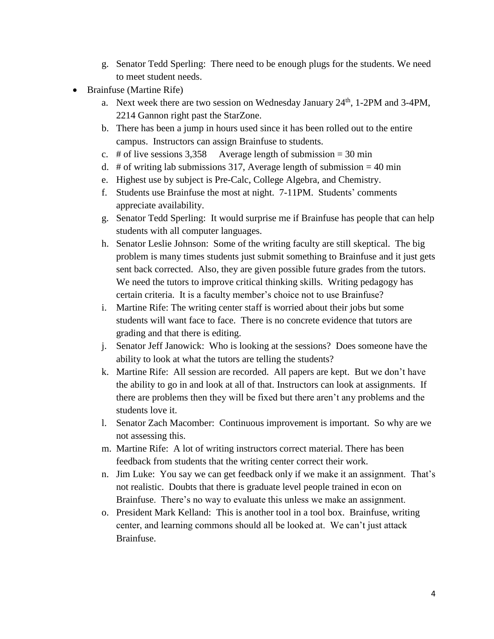- g. Senator Tedd Sperling: There need to be enough plugs for the students. We need to meet student needs.
- Brainfuse (Martine Rife)
	- a. Next week there are two session on Wednesday January 24<sup>th</sup>, 1-2PM and 3-4PM, 2214 Gannon right past the StarZone.
	- b. There has been a jump in hours used since it has been rolled out to the entire campus. Instructors can assign Brainfuse to students.
	- c. # of live sessions  $3,358$  Average length of submission = 30 min
	- d. # of writing lab submissions 317, Average length of submission  $= 40$  min
	- e. Highest use by subject is Pre-Calc, College Algebra, and Chemistry.
	- f. Students use Brainfuse the most at night. 7-11PM. Students' comments appreciate availability.
	- g. Senator Tedd Sperling: It would surprise me if Brainfuse has people that can help students with all computer languages.
	- h. Senator Leslie Johnson: Some of the writing faculty are still skeptical. The big problem is many times students just submit something to Brainfuse and it just gets sent back corrected. Also, they are given possible future grades from the tutors. We need the tutors to improve critical thinking skills. Writing pedagogy has certain criteria. It is a faculty member's choice not to use Brainfuse?
	- i. Martine Rife: The writing center staff is worried about their jobs but some students will want face to face. There is no concrete evidence that tutors are grading and that there is editing.
	- j. Senator Jeff Janowick: Who is looking at the sessions? Does someone have the ability to look at what the tutors are telling the students?
	- k. Martine Rife: All session are recorded. All papers are kept. But we don't have the ability to go in and look at all of that. Instructors can look at assignments. If there are problems then they will be fixed but there aren't any problems and the students love it.
	- l. Senator Zach Macomber: Continuous improvement is important. So why are we not assessing this.
	- m. Martine Rife: A lot of writing instructors correct material. There has been feedback from students that the writing center correct their work.
	- n. Jim Luke: You say we can get feedback only if we make it an assignment. That's not realistic. Doubts that there is graduate level people trained in econ on Brainfuse. There's no way to evaluate this unless we make an assignment.
	- o. President Mark Kelland: This is another tool in a tool box. Brainfuse, writing center, and learning commons should all be looked at. We can't just attack Brainfuse.